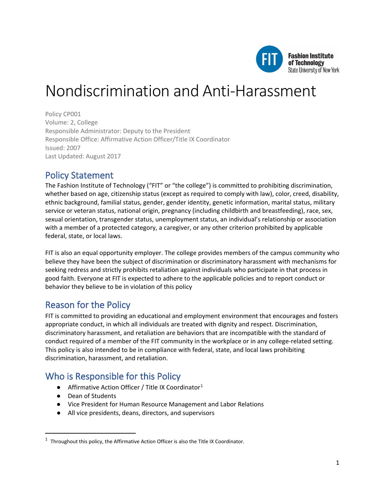

# Nondiscrimination and Anti-Harassment

Policy CP001 Volume: 2, College Responsible Administrator: Deputy to the President Responsible Office: Affirmative Action Officer/Title IX Coordinator Issued: 2007 Last Updated: August 2017

### Policy Statement

The Fashion Institute of Technology ("FIT" or "the college") is committed to prohibiting discrimination, whether based on age, citizenship status (except as required to comply with law), color, creed, disability, ethnic background, familial status, gender, gender identity, genetic information, marital status, military service or veteran status, national origin, pregnancy (including childbirth and breastfeeding), race, sex, sexual orientation, transgender status, unemployment status, an individual's relationship or association with a member of a protected category, a caregiver, or any other criterion prohibited by applicable federal, state, or local laws.

FIT is also an equal opportunity employer. The college provides members of the campus community who believe they have been the subject of discrimination or discriminatory harassment with mechanisms for seeking redress and strictly prohibits retaliation against individuals who participate in that process in good faith. Everyone at FIT is expected to adhere to the applicable policies and to report conduct or behavior they believe to be in violation of this policy

# Reason for the Policy

FIT is committed to providing an educational and employment environment that encourages and fosters appropriate conduct, in which all individuals are treated with dignity and respect. Discrimination, discriminatory harassment, and retaliation are behaviors that are incompatible with the standard of conduct required of a member of the FIT community in the workplace or in any college-related setting. This policy is also intended to be in compliance with federal, state, and local laws prohibiting discrimination, harassment, and retaliation.

# Who is Responsible for this Policy

- Affirmative Action Officer / Title IX Coordinator<sup>[1](#page-0-0)</sup>
- Dean of Students
- Vice President for Human Resource Management and Labor Relations
- All vice presidents, deans, directors, and supervisors

<span id="page-0-0"></span> $1$  Throughout this policy, the Affirmative Action Officer is also the Title IX Coordinator.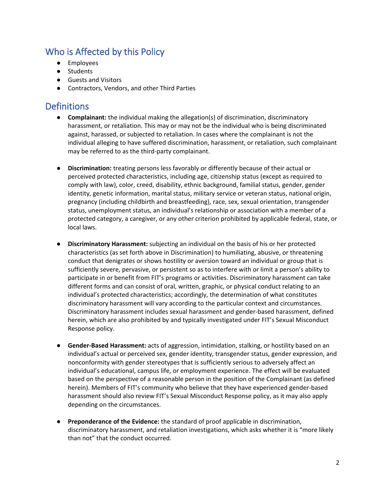## Who is Affected by this Policy

- Employees
- Students
- Guests and Visitors
- Contractors, Vendors, and other Third Parties

### **Definitions**

- **Complainant:** the individual making the allegation(s) of discrimination, discriminatory harassment, or retaliation. This may or may not be the individual who is being discriminated against, harassed, or subjected to retaliation. In cases where the complainant is not the individual alleging to have suffered discrimination, harassment, or retaliation, such complainant may be referred to as the third-party complainant.
- **Discrimination:** treating persons less favorably or differently because of their actual or perceived protected characteristics, including age, citizenship status (except as required to comply with law), color, creed, disability, ethnic background, familial status, gender, gender identity, genetic information, marital status, military service or veteran status, national origin, pregnancy (including childbirth and breastfeeding), race, sex, sexual orientation, transgender status, unemployment status, an individual's relationship or association with a member of a protected category, a caregiver, or any other criterion prohibited by applicable federal, state, or local laws.
- **Discriminatory Harassment:** subjecting an individual on the basis of his or her protected characteristics (as set forth above in Discrimination) to humiliating, abusive, or threatening conduct that denigrates or shows hostility or aversion toward an individual or group that is sufficiently severe, pervasive, or persistent so as to interfere with or limit a person's ability to participate in or benefit from FIT's programs or activities. Discriminatory harassment can take different forms and can consist of oral, written, graphic, or physical conduct relating to an individual's protected characteristics; accordingly, the determination of what constitutes discriminatory harassment will vary according to the particular context and circumstances. Discriminatory harassment includes sexual harassment and gender-based harassment, defined herein, which are also prohibited by and typically investigated under FIT's Sexual Misconduct Response policy.
- **Gender-Based Harassment:** acts of aggression, intimidation, stalking, or hostility based on an individual's actual or perceived sex, gender identity, transgender status, gender expression, and nonconformity with gender stereotypes that is sufficiently serious to adversely affect an individual's educational, campus life, or employment experience. The effect will be evaluated based on the perspective of a reasonable person in the position of the Complainant (as defined herein). Members of FIT's community who believe that they have experienced gender-based harassment should also review FIT's Sexual Misconduct Response policy, as it may also apply depending on the circumstances.
- **Preponderance of the Evidence:** the standard of proof applicable in discrimination, discriminatory harassment, and retaliation investigations, which asks whether it is "more likely than not" that the conduct occurred.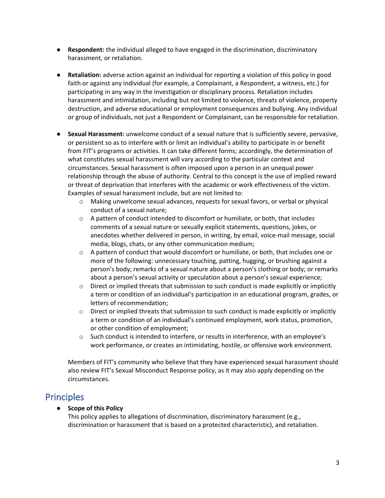- **Respondent:** the individual alleged to have engaged in the discrimination, discriminatory harassment, or retaliation.
- **Retaliation:** adverse action against an individual for reporting a violation of this policy in good faith or against any individual (for example, a Complainant, a Respondent, a witness, etc.) for participating in any way in the investigation or disciplinary process. Retaliation includes harassment and intimidation, including but not limited to violence, threats of violence, property destruction, and adverse educational or employment consequences and bullying. Any individual or group of individuals, not just a Respondent or Complainant, can be responsible for retaliation.
- **Sexual Harassment:** unwelcome conduct of a sexual nature that is sufficiently severe, pervasive, or persistent so as to interfere with or limit an individual's ability to participate in or benefit from FIT's programs or activities. It can take different forms; accordingly, the determination of what constitutes sexual harassment will vary according to the particular context and circumstances. Sexual harassment is often imposed upon a person in an unequal power relationship through the abuse of authority. Central to this concept is the use of implied reward or threat of deprivation that interferes with the academic or work effectiveness of the victim. Examples of sexual harassment include, but are not limited to:
	- o Making unwelcome sexual advances, requests for sexual favors, or verbal or physical conduct of a sexual nature;
	- $\circ$  A pattern of conduct intended to discomfort or humiliate, or both, that includes comments of a sexual nature or sexually explicit statements, questions, jokes, or anecdotes whether delivered in person, in writing, by email, voice-mail message, social media, blogs, chats, or any other communication medium;
	- o A pattern of conduct that would discomfort or humiliate, or both, that includes one or more of the following: unnecessary touching, patting, hugging, or brushing against a person's body; remarks of a sexual nature about a person's clothing or body; or remarks about a person's sexual activity or speculation about a person's sexual experience;
	- $\circ$  Direct or implied threats that submission to such conduct is made explicitly or implicitly a term or condition of an individual's participation in an educational program, grades, or letters of recommendation;
	- $\circ$  Direct or implied threats that submission to such conduct is made explicitly or implicitly a term or condition of an individual's continued employment, work status, promotion, or other condition of employment;
	- $\circ$  Such conduct is intended to interfere, or results in interference, with an employee's work performance, or creates an intimidating, hostile, or offensive work environment.

Members of FIT's community who believe that they have experienced sexual harassment should also review FIT's Sexual Misconduct Response policy, as it may also apply depending on the circumstances.

### Principles

### ● **Scope of this Policy**

This policy applies to allegations of discrimination, discriminatory harassment (e.g., discrimination or harassment that is based on a protected characteristic), and retaliation.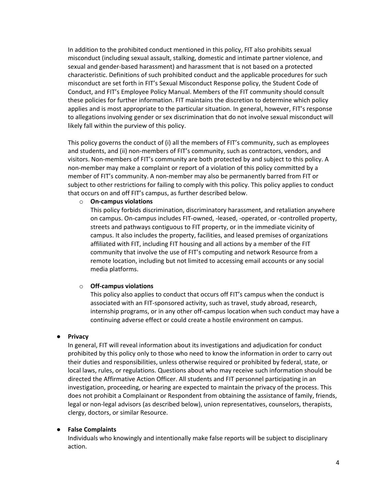In addition to the prohibited conduct mentioned in this policy, FIT also prohibits sexual misconduct (including sexual assault, stalking, domestic and intimate partner violence, and sexual and gender-based harassment) and harassment that is not based on a protected characteristic. Definitions of such prohibited conduct and the applicable procedures for such misconduct are set forth in FIT's Sexual Misconduct Response policy, the Student Code of Conduct, and FIT's Employee Policy Manual. Members of the FIT community should consult these policies for further information. FIT maintains the discretion to determine which policy applies and is most appropriate to the particular situation. In general, however, FIT's response to allegations involving gender or sex discrimination that do not involve sexual misconduct will likely fall within the purview of this policy.

This policy governs the conduct of (i) all the members of FIT's community, such as employees and students, and (ii) non-members of FIT's community, such as contractors, vendors, and visitors. Non-members of FIT's community are both protected by and subject to this policy. A non-member may make a complaint or report of a violation of this policy committed by a member of FIT's community. A non-member may also be permanently barred from FIT or subject to other restrictions for failing to comply with this policy. This policy applies to conduct that occurs on and off FIT's campus, as further described below.

#### o **On-campus violations**

This policy forbids discrimination, discriminatory harassment, and retaliation anywhere on campus. On-campus includes FIT-owned, -leased, -operated, or -controlled property, streets and pathways contiguous to FIT property, or in the immediate vicinity of campus. It also includes the property, facilities, and leased premises of organizations affiliated with FIT, including FIT housing and all actions by a member of the FIT community that involve the use of FIT's computing and network Resource from a remote location, including but not limited to accessing email accounts or any social media platforms.

#### o **Off-campus violations**

This policy also applies to conduct that occurs off FIT's campus when the conduct is associated with an FIT-sponsored activity, such as travel, study abroad, research, internship programs, or in any other off-campus location when such conduct may have a continuing adverse effect or could create a hostile environment on campus.

#### ● **Privacy**

In general, FIT will reveal information about its investigations and adjudication for conduct prohibited by this policy only to those who need to know the information in order to carry out their duties and responsibilities, unless otherwise required or prohibited by federal, state, or local laws, rules, or regulations. Questions about who may receive such information should be directed the Affirmative Action Officer. All students and FIT personnel participating in an investigation, proceeding, or hearing are expected to maintain the privacy of the process. This does not prohibit a Complainant or Respondent from obtaining the assistance of family, friends, legal or non-legal advisors (as described below), union representatives, counselors, therapists, clergy, doctors, or similar Resource.

#### ● **False Complaints**

Individuals who knowingly and intentionally make false reports will be subject to disciplinary action.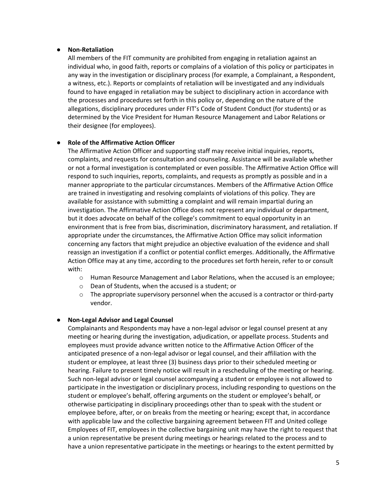#### ● **Non-Retaliation**

All members of the FIT community are prohibited from engaging in retaliation against an individual who, in good faith, reports or complains of a violation of this policy or participates in any way in the investigation or disciplinary process (for example, a Complainant, a Respondent, a witness, etc.). Reports or complaints of retaliation will be investigated and any individuals found to have engaged in retaliation may be subject to disciplinary action in accordance with the processes and procedures set forth in this policy or, depending on the nature of the allegations, disciplinary procedures under FIT's Code of Student Conduct (for students) or as determined by the Vice President for Human Resource Management and Labor Relations or their designee (for employees).

#### ● **Role of the Affirmative Action Officer**

The Affirmative Action Officer and supporting staff may receive initial inquiries, reports, complaints, and requests for consultation and counseling. Assistance will be available whether or not a formal investigation is contemplated or even possible. The Affirmative Action Office will respond to such inquiries, reports, complaints, and requests as promptly as possible and in a manner appropriate to the particular circumstances. Members of the Affirmative Action Office are trained in investigating and resolving complaints of violations of this policy. They are available for assistance with submitting a complaint and will remain impartial during an investigation. The Affirmative Action Office does not represent any individual or department, but it does advocate on behalf of the college's commitment to equal opportunity in an environment that is free from bias, discrimination, discriminatory harassment, and retaliation. If appropriate under the circumstances, the Affirmative Action Office may solicit information concerning any factors that might prejudice an objective evaluation of the evidence and shall reassign an investigation if a conflict or potential conflict emerges. Additionally, the Affirmative Action Office may at any time, according to the procedures set forth herein, refer to or consult with:

- o Human Resource Management and Labor Relations, when the accused is an employee;
- o Dean of Students, when the accused is a student; or
- $\circ$  The appropriate supervisory personnel when the accused is a contractor or third-party vendor.

#### ● **Non-Legal Advisor and Legal Counsel**

Complainants and Respondents may have a non-legal advisor or legal counsel present at any meeting or hearing during the investigation, adjudication, or appellate process. Students and employees must provide advance written notice to the Affirmative Action Officer of the anticipated presence of a non-legal advisor or legal counsel, and their affiliation with the student or employee, at least three (3) business days prior to their scheduled meeting or hearing. Failure to present timely notice will result in a rescheduling of the meeting or hearing. Such non-legal advisor or legal counsel accompanying a student or employee is not allowed to participate in the investigation or disciplinary process, including responding to questions on the student or employee's behalf, offering arguments on the student or employee's behalf, or otherwise participating in disciplinary proceedings other than to speak with the student or employee before, after, or on breaks from the meeting or hearing; except that, in accordance with applicable law and the collective bargaining agreement between FIT and United college Employees of FIT, employees in the collective bargaining unit may have the right to request that a union representative be present during meetings or hearings related to the process and to have a union representative participate in the meetings or hearings to the extent permitted by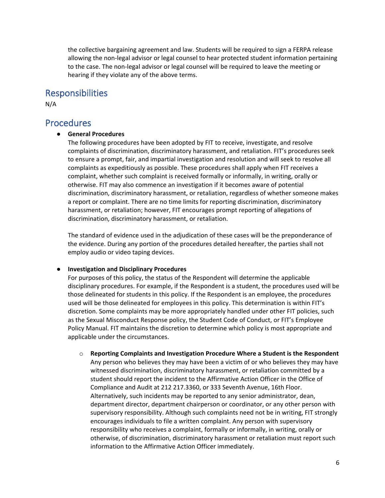the collective bargaining agreement and law. Students will be required to sign a FERPA release allowing the non-legal advisor or legal counsel to hear protected student information pertaining to the case. The non-legal advisor or legal counsel will be required to leave the meeting or hearing if they violate any of the above terms.

### Responsibilities

N/A

### **Procedures**

#### ● **General Procedures**

The following procedures have been adopted by FIT to receive, investigate, and resolve complaints of discrimination, discriminatory harassment, and retaliation. FIT's procedures seek to ensure a prompt, fair, and impartial investigation and resolution and will seek to resolve all complaints as expeditiously as possible. These procedures shall apply when FIT receives a complaint, whether such complaint is received formally or informally, in writing, orally or otherwise. FIT may also commence an investigation if it becomes aware of potential discrimination, discriminatory harassment, or retaliation, regardless of whether someone makes a report or complaint. There are no time limits for reporting discrimination, discriminatory harassment, or retaliation; however, FIT encourages prompt reporting of allegations of discrimination, discriminatory harassment, or retaliation.

The standard of evidence used in the adjudication of these cases will be the preponderance of the evidence. During any portion of the procedures detailed hereafter, the parties shall not employ audio or video taping devices.

#### ● **Investigation and Disciplinary Procedures**

For purposes of this policy, the status of the Respondent will determine the applicable disciplinary procedures. For example, if the Respondent is a student, the procedures used will be those delineated for students in this policy. If the Respondent is an employee, the procedures used will be those delineated for employees in this policy. This determination is within FIT's discretion. Some complaints may be more appropriately handled under other FIT policies, such as the Sexual Misconduct Response policy, the Student Code of Conduct, or FIT's Employee Policy Manual. FIT maintains the discretion to determine which policy is most appropriate and applicable under the circumstances.

o **Reporting Complaints and Investigation Procedure Where a Student is the Respondent** Any person who believes they may have been a victim of or who believes they may have witnessed discrimination, discriminatory harassment, or retaliation committed by a student should report the incident to the Affirmative Action Officer in the Office of Compliance and Audit at 212 217.3360, or 333 Seventh Avenue, 16th Floor. Alternatively, such incidents may be reported to any senior administrator, dean, department director, department chairperson or coordinator, or any other person with supervisory responsibility. Although such complaints need not be in writing, FIT strongly encourages individuals to file a written complaint. Any person with supervisory responsibility who receives a complaint, formally or informally, in writing, orally or otherwise, of discrimination, discriminatory harassment or retaliation must report such information to the Affirmative Action Officer immediately.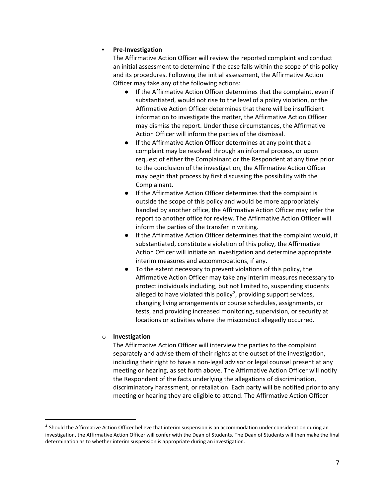#### ▪ **Pre-Investigation**

The Affirmative Action Officer will review the reported complaint and conduct an initial assessment to determine if the case falls within the scope of this policy and its procedures. Following the initial assessment, the Affirmative Action Officer may take any of the following actions:

- If the Affirmative Action Officer determines that the complaint, even if substantiated, would not rise to the level of a policy violation, or the Affirmative Action Officer determines that there will be insufficient information to investigate the matter, the Affirmative Action Officer may dismiss the report. Under these circumstances, the Affirmative Action Officer will inform the parties of the dismissal.
- If the Affirmative Action Officer determines at any point that a complaint may be resolved through an informal process, or upon request of either the Complainant or the Respondent at any time prior to the conclusion of the investigation, the Affirmative Action Officer may begin that process by first discussing the possibility with the Complainant.
- If the Affirmative Action Officer determines that the complaint is outside the scope of this policy and would be more appropriately handled by another office, the Affirmative Action Officer may refer the report to another office for review. The Affirmative Action Officer will inform the parties of the transfer in writing.
- If the Affirmative Action Officer determines that the complaint would, if substantiated, constitute a violation of this policy, the Affirmative Action Officer will initiate an investigation and determine appropriate interim measures and accommodations, if any.
- To the extent necessary to prevent violations of this policy, the Affirmative Action Officer may take any interim measures necessary to protect individuals including, but not limited to, suspending students alleged to have violated this policy<sup>[2](#page-6-0)</sup>, providing support services, changing living arrangements or course schedules, assignments, or tests, and providing increased monitoring, supervision, or security at locations or activities where the misconduct allegedly occurred.

#### o **Investigation**

The Affirmative Action Officer will interview the parties to the complaint separately and advise them of their rights at the outset of the investigation, including their right to have a non-legal advisor or legal counsel present at any meeting or hearing, as set forth above. The Affirmative Action Officer will notify the Respondent of the facts underlying the allegations of discrimination, discriminatory harassment, or retaliation. Each party will be notified prior to any meeting or hearing they are eligible to attend. The Affirmative Action Officer

<span id="page-6-0"></span><sup>&</sup>lt;sup>2</sup> Should the Affirmative Action Officer believe that interim suspension is an accommodation under consideration during an investigation, the Affirmative Action Officer will confer with the Dean of Students. The Dean of Students will then make the final determination as to whether interim suspension is appropriate during an investigation.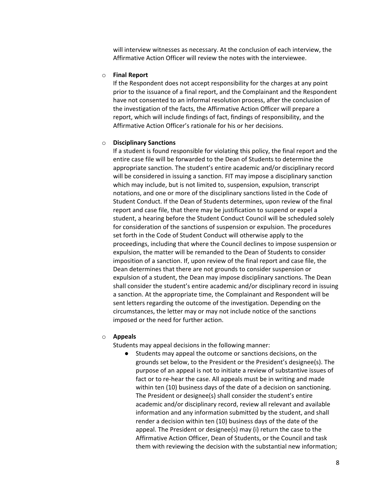will interview witnesses as necessary. At the conclusion of each interview, the Affirmative Action Officer will review the notes with the interviewee.

#### o **Final Report**

If the Respondent does not accept responsibility for the charges at any point prior to the issuance of a final report, and the Complainant and the Respondent have not consented to an informal resolution process, after the conclusion of the investigation of the facts, the Affirmative Action Officer will prepare a report, which will include findings of fact, findings of responsibility, and the Affirmative Action Officer's rationale for his or her decisions.

#### o **Disciplinary Sanctions**

If a student is found responsible for violating this policy, the final report and the entire case file will be forwarded to the Dean of Students to determine the appropriate sanction. The student's entire academic and/or disciplinary record will be considered in issuing a sanction. FIT may impose a disciplinary sanction which may include, but is not limited to, suspension, expulsion, transcript notations, and one or more of the disciplinary sanctions listed in the Code of Student Conduct. If the Dean of Students determines, upon review of the final report and case file, that there may be justification to suspend or expel a student, a hearing before the Student Conduct Council will be scheduled solely for consideration of the sanctions of suspension or expulsion. The procedures set forth in the Code of Student Conduct will otherwise apply to the proceedings, including that where the Council declines to impose suspension or expulsion, the matter will be remanded to the Dean of Students to consider imposition of a sanction. If, upon review of the final report and case file, the Dean determines that there are not grounds to consider suspension or expulsion of a student, the Dean may impose disciplinary sanctions. The Dean shall consider the student's entire academic and/or disciplinary record in issuing a sanction. At the appropriate time, the Complainant and Respondent will be sent letters regarding the outcome of the investigation. Depending on the circumstances, the letter may or may not include notice of the sanctions imposed or the need for further action.

#### o **Appeals**

Students may appeal decisions in the following manner:

● Students may appeal the outcome or sanctions decisions, on the grounds set below, to the President or the President's designee(s). The purpose of an appeal is not to initiate a review of substantive issues of fact or to re-hear the case. All appeals must be in writing and made within ten (10) business days of the date of a decision on sanctioning. The President or designee(s) shall consider the student's entire academic and/or disciplinary record, review all relevant and available information and any information submitted by the student, and shall render a decision within ten (10) business days of the date of the appeal. The President or designee(s) may (i) return the case to the Affirmative Action Officer, Dean of Students, or the Council and task them with reviewing the decision with the substantial new information;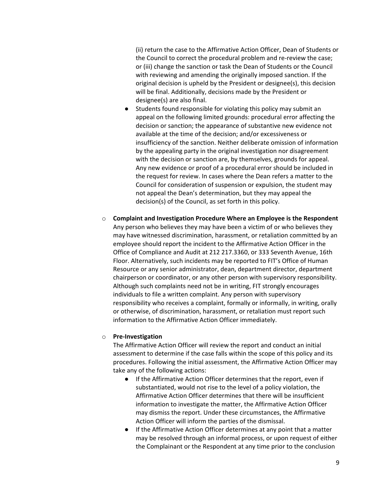(ii) return the case to the Affirmative Action Officer, Dean of Students or the Council to correct the procedural problem and re-review the case; or (iii) change the sanction or task the Dean of Students or the Council with reviewing and amending the originally imposed sanction. If the original decision is upheld by the President or designee(s), this decision will be final. Additionally, decisions made by the President or designee(s) are also final.

- Students found responsible for violating this policy may submit an appeal on the following limited grounds: procedural error affecting the decision or sanction; the appearance of substantive new evidence not available at the time of the decision; and/or excessiveness or insufficiency of the sanction. Neither deliberate omission of information by the appealing party in the original investigation nor disagreement with the decision or sanction are, by themselves, grounds for appeal. Any new evidence or proof of a procedural error should be included in the request for review. In cases where the Dean refers a matter to the Council for consideration of suspension or expulsion, the student may not appeal the Dean's determination, but they may appeal the decision(s) of the Council, as set forth in this policy.
- o **Complaint and Investigation Procedure Where an Employee is the Respondent** Any person who believes they may have been a victim of or who believes they may have witnessed discrimination, harassment, or retaliation committed by an employee should report the incident to the Affirmative Action Officer in the Office of Compliance and Audit at 212 217.3360, or 333 Seventh Avenue, 16th Floor. Alternatively, such incidents may be reported to FIT's Office of Human Resource or any senior administrator, dean, department director, department chairperson or coordinator, or any other person with supervisory responsibility. Although such complaints need not be in writing, FIT strongly encourages individuals to file a written complaint. Any person with supervisory responsibility who receives a complaint, formally or informally, in writing, orally or otherwise, of discrimination, harassment, or retaliation must report such information to the Affirmative Action Officer immediately.

#### o **Pre-Investigation**

The Affirmative Action Officer will review the report and conduct an initial assessment to determine if the case falls within the scope of this policy and its procedures. Following the initial assessment, the Affirmative Action Officer may take any of the following actions:

- If the Affirmative Action Officer determines that the report, even if substantiated, would not rise to the level of a policy violation, the Affirmative Action Officer determines that there will be insufficient information to investigate the matter, the Affirmative Action Officer may dismiss the report. Under these circumstances, the Affirmative Action Officer will inform the parties of the dismissal.
- If the Affirmative Action Officer determines at any point that a matter may be resolved through an informal process, or upon request of either the Complainant or the Respondent at any time prior to the conclusion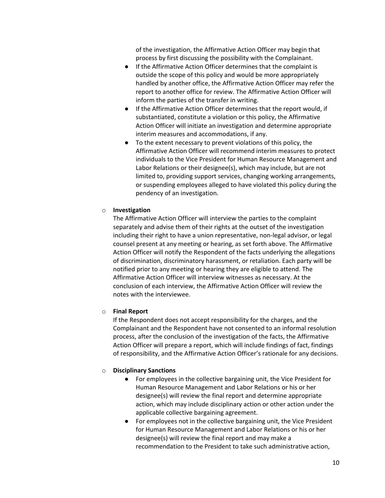of the investigation, the Affirmative Action Officer may begin that process by first discussing the possibility with the Complainant.

- If the Affirmative Action Officer determines that the complaint is outside the scope of this policy and would be more appropriately handled by another office, the Affirmative Action Officer may refer the report to another office for review. The Affirmative Action Officer will inform the parties of the transfer in writing.
- If the Affirmative Action Officer determines that the report would, if substantiated, constitute a violation or this policy, the Affirmative Action Officer will initiate an investigation and determine appropriate interim measures and accommodations, if any.
- To the extent necessary to prevent violations of this policy, the Affirmative Action Officer will recommend interim measures to protect individuals to the Vice President for Human Resource Management and Labor Relations or their designee(s), which may include, but are not limited to, providing support services, changing working arrangements, or suspending employees alleged to have violated this policy during the pendency of an investigation.

#### o **Investigation**

The Affirmative Action Officer will interview the parties to the complaint separately and advise them of their rights at the outset of the investigation including their right to have a union representative, non-legal advisor, or legal counsel present at any meeting or hearing, as set forth above. The Affirmative Action Officer will notify the Respondent of the facts underlying the allegations of discrimination, discriminatory harassment, or retaliation. Each party will be notified prior to any meeting or hearing they are eligible to attend. The Affirmative Action Officer will interview witnesses as necessary. At the conclusion of each interview, the Affirmative Action Officer will review the notes with the interviewee.

#### o **Final Report**

If the Respondent does not accept responsibility for the charges, and the Complainant and the Respondent have not consented to an informal resolution process, after the conclusion of the investigation of the facts, the Affirmative Action Officer will prepare a report, which will include findings of fact, findings of responsibility, and the Affirmative Action Officer's rationale for any decisions.

#### o **Disciplinary Sanctions**

- For employees in the collective bargaining unit, the Vice President for Human Resource Management and Labor Relations or his or her designee(s) will review the final report and determine appropriate action, which may include disciplinary action or other action under the applicable collective bargaining agreement.
- For employees not in the collective bargaining unit, the Vice President for Human Resource Management and Labor Relations or his or her designee(s) will review the final report and may make a recommendation to the President to take such administrative action,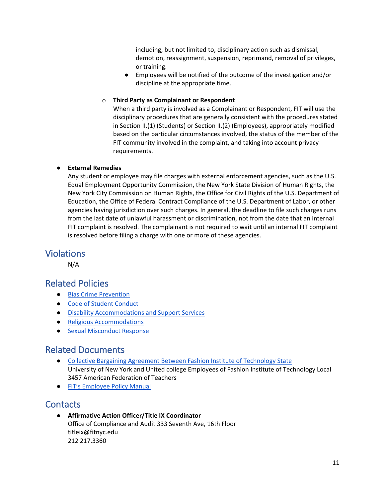including, but not limited to, disciplinary action such as dismissal, demotion, reassignment, suspension, reprimand, removal of privileges, or training.

● Employees will be notified of the outcome of the investigation and/or discipline at the appropriate time.

#### o **Third Party as Complainant or Respondent**

When a third party is involved as a Complainant or Respondent, FIT will use the disciplinary procedures that are generally consistent with the procedures stated in Section II.(1) (Students) or Section II.(2) (Employees), appropriately modified based on the particular circumstances involved, the status of the member of the FIT community involved in the complaint, and taking into account privacy requirements.

### ● **External Remedies**

Any student or employee may file charges with external enforcement agencies, such as the U.S. Equal Employment Opportunity Commission, the New York State Division of Human Rights, the New York City Commission on Human Rights, the Office for Civil Rights of the U.S. Department of Education, the Office of Federal Contract Compliance of the U.S. Department of Labor, or other agencies having jurisdiction over such charges. In general, the deadline to file such charges runs from the last date of unlawful harassment or discrimination, not from the date that an internal FIT complaint is resolved. The complainant is not required to wait until an internal FIT complaint is resolved before filing a charge with one or more of these agencies.

### Violations

N/A

# Related Policies

- [Bias Crime Prevention](https://www.fitnyc.edu/about/policies/enrollment-management/bias-crime-prevention.php)
- [Code of Student Conduct](https://www.fitnyc.edu/about/policies/enrollment-management/code-of-conduct.php)
- [Disability Accommodations and Support Services](https://www.fitnyc.edu/about/policies/enrollment-management/disability-accommodations.php)
- [Religious Accommodations](https://www.fitnyc.edu/about/policies/enrollment-management/religious-accommodations.php)
- Sexual Misconduct Response

## Related Documents

- [Collective Bargaining Agreement Between Fashion Institute of Technology State](https://www.fitnyc.edu/about/administration/hr/current-employees/cba/index.php) University of New York and United college Employees of Fashion Institute of Technology Local 3457 American Federation of Teachers
- [FIT's Employee Policy Manual](https://www.fitnyc.edu/about/administration/hr/benefits/eap/policies/index.php)

## **Contacts**

● **Affirmative Action Officer/Title IX Coordinator** Office of Compliance and Audit 333 Seventh Ave, 16th Floor titleix@fitnyc.edu 212 217.3360